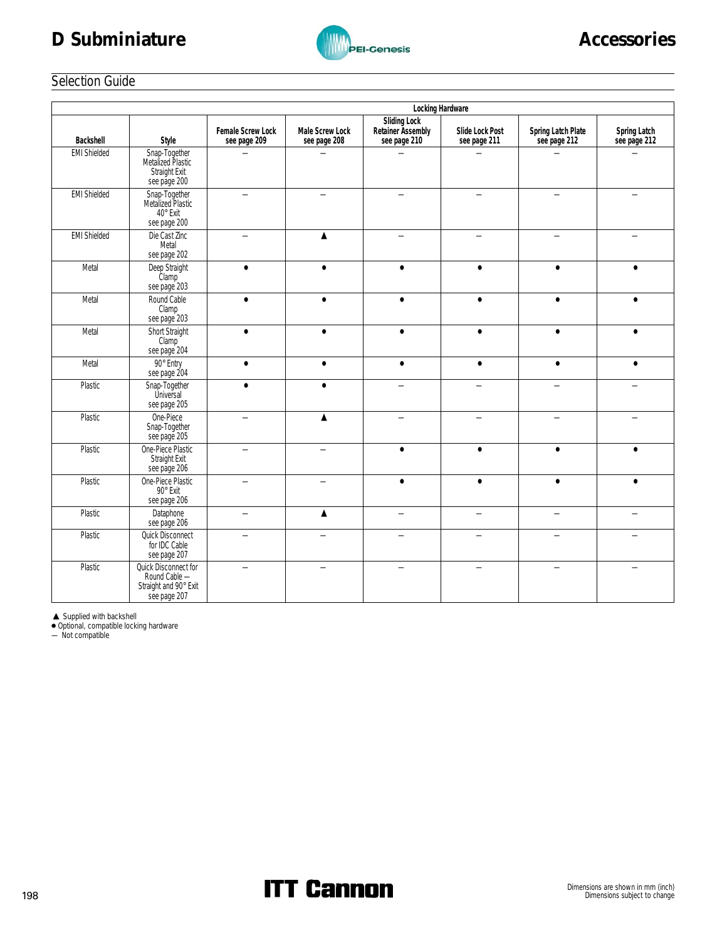# D Subminiature **Accessories**



# Selection Guide

|                     | Locking Hardware                                                               |                                   |                                 |                                                   |                                 |                                    |                              |
|---------------------|--------------------------------------------------------------------------------|-----------------------------------|---------------------------------|---------------------------------------------------|---------------------------------|------------------------------------|------------------------------|
| Backshell           | Style                                                                          | Female Screw Lock<br>see page 209 | Male Screw Lock<br>see page 208 | Sliding Lock<br>Retainer Assembly<br>see page 210 | Slide Lock Post<br>see page 211 | Spring Latch Plate<br>see page 212 | Spring Latch<br>see page 212 |
| <b>EMI Shielded</b> | Snap-Together<br>Metalized Plastic<br>Straight Exit<br>see page 200            |                                   |                                 |                                                   |                                 |                                    |                              |
| <b>EMI Shielded</b> | Snap-Together<br>Metalized Plastic<br>40° Exit<br>see page 200                 |                                   |                                 |                                                   |                                 |                                    |                              |
| <b>EMI Shielded</b> | Die Cast Zinc<br>Metal<br>see page 202                                         |                                   | ▲                               |                                                   |                                 |                                    |                              |
| Metal               | Deep Straight<br>Clamp<br>see page 203                                         | $\bullet$                         | $\bullet$                       | $\bullet$                                         | $\bullet$                       | $\bullet$                          | $\bullet$                    |
| Metal               | Round Cable<br>Clamp<br>see page 203                                           | $\bullet$                         | $\bullet$                       | $\bullet$                                         | $\bullet$                       | $\bullet$                          | $\bullet$                    |
| Metal               | Short Straight<br>Clamp <sup>-</sup><br>see page 204                           | $\bullet$                         | $\bullet$                       | $\bullet$                                         | $\bullet$                       | $\bullet$                          | $\bullet$                    |
| Metal               | 90° Entry<br>see page 204                                                      | $\bullet$                         | $\bullet$                       | $\bullet$                                         | $\bullet$                       | $\bullet$                          | $\bullet$                    |
| Plastic             | Snap-Together<br>Universal<br>see page 205                                     | $\bullet$                         | $\bullet$                       |                                                   | $\overline{\phantom{0}}$        |                                    |                              |
| Plastic             | One-Piece<br>Snap-Together<br>see page 205                                     | —                                 | ▲                               |                                                   | —                               |                                    |                              |
| Plastic             | One-Piece Plastic<br>Straight Exit<br>see page 206                             | ▃                                 |                                 | $\bullet$                                         | $\bullet$                       | $\bullet$                          |                              |
| Plastic             | One-Piece Plastic<br>90° Exit<br>see page 206                                  |                                   |                                 | $\bullet$                                         | $\bullet$                       | $\bullet$                          | $\bullet$                    |
| Plastic             | Dataphone<br>see page 206                                                      | $\qquad \qquad$                   | ▲                               |                                                   | $\overline{\phantom{0}}$        |                                    |                              |
| Plastic             | Quick Disconnect<br>for IDC Cable<br>see page 207                              |                                   |                                 |                                                   |                                 |                                    |                              |
| Plastic             | Quick Disconnect for<br>Round Cable -<br>Straight and 90° Exit<br>see page 207 | $\overline{\phantom{0}}$          |                                 |                                                   | $\equiv$                        |                                    |                              |

▲ Supplied with backshell<br>● Optional, compatible locking hardware<br>— Not compatible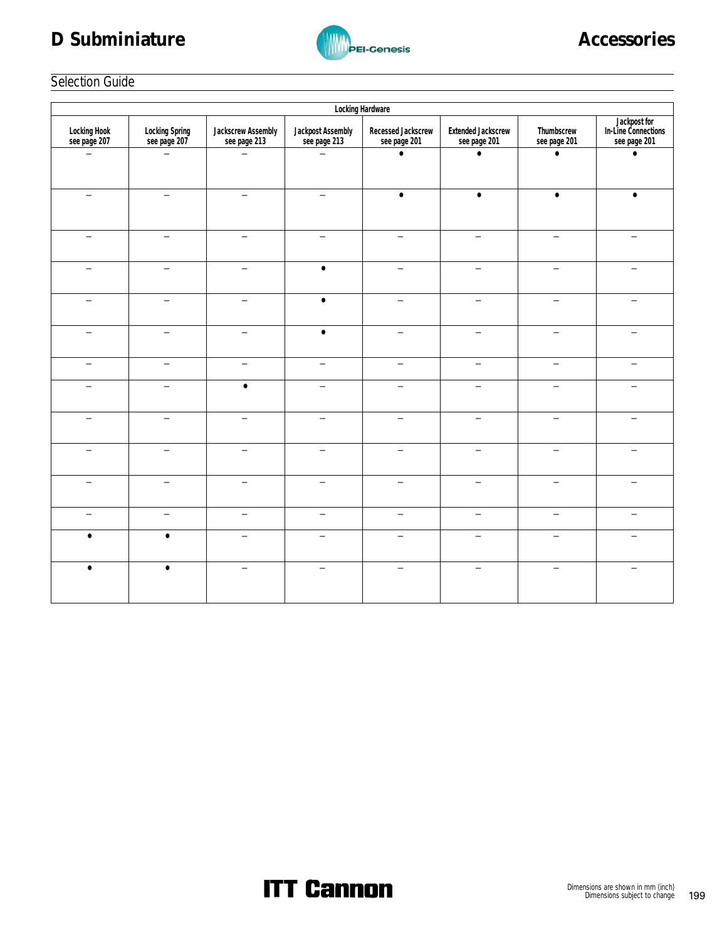# D Subminiature **Accessories**



# Selection Guide

|                              |                                |                                    |                                   | Locking Hardware                   |                                           |                            |                                                     |
|------------------------------|--------------------------------|------------------------------------|-----------------------------------|------------------------------------|-------------------------------------------|----------------------------|-----------------------------------------------------|
| Locking Hook<br>see page 207 | Locking Spring<br>see page 207 | Jackscrew Assembly<br>see page 213 | Jackpost Assembly<br>see page 213 | Recessed Jackscrew<br>see page 201 | <b>Extended Jackscrew</b><br>see page 201 | Thumbscrew<br>see page 201 | Jackpost for<br>In-Line Connections<br>see page 201 |
|                              |                                |                                    |                                   | $\bullet$                          | $\bullet$                                 | $\bullet$                  | $\bullet$                                           |
|                              | $\equiv$                       | $\overline{\phantom{0}}$           | $\equiv$                          | $\bullet$                          | $\bullet$                                 | $\bullet$                  |                                                     |
|                              | ÷,                             |                                    |                                   |                                    | $\overline{\phantom{0}}$                  | $\overline{\phantom{0}}$   |                                                     |
|                              |                                |                                    | $\bullet$                         |                                    |                                           |                            |                                                     |
|                              |                                | $\overline{\phantom{0}}$           | $\bullet$                         |                                    | $\equiv$                                  |                            |                                                     |
|                              | —                              | $\overline{\phantom{0}}$           | $\bullet$                         | —                                  | —                                         |                            |                                                     |
|                              | $\equiv$                       | $\overline{\phantom{0}}$           |                                   |                                    | $\overline{\phantom{0}}$                  |                            |                                                     |
|                              | $\overline{\phantom{0}}$       | $\bullet$                          |                                   | $\overline{\phantom{0}}$           | $\equiv$                                  |                            |                                                     |
|                              |                                | ÷,                                 |                                   |                                    | ц                                         |                            |                                                     |
|                              |                                |                                    |                                   |                                    |                                           |                            |                                                     |
|                              | ▃                              | $\overline{\phantom{0}}$           |                                   | $\overline{\phantom{0}}$           | $\overline{\phantom{0}}$                  |                            |                                                     |
|                              |                                |                                    |                                   |                                    | $\qquad \qquad -$                         |                            |                                                     |
| $\bullet$                    | $\bullet$                      | ц                                  |                                   |                                    | $\overline{\phantom{0}}$                  |                            |                                                     |
| $\bullet$                    | $\bullet$                      |                                    |                                   |                                    |                                           |                            |                                                     |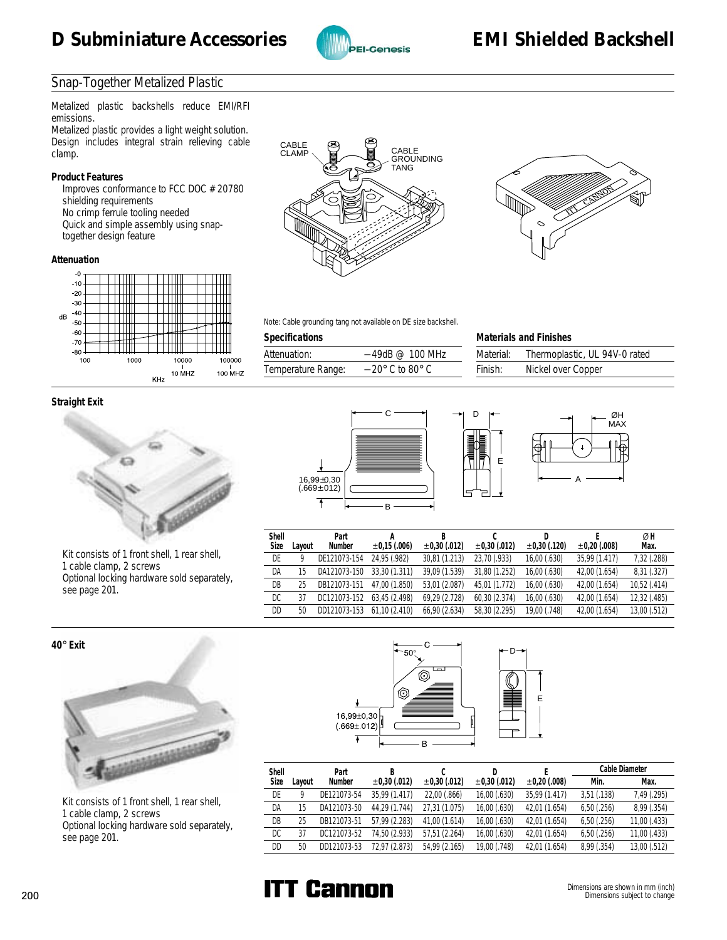

# Snap-Together Metalized Plastic

Metalized plastic backshells reduce EMI/RFI emissions.

Metalized plastic provides a light weight solution. Design includes integral strain relieving cable clamp.

#### **Product Features**

 Improves conformance to FCC DOC #20780 shielding requirements No crimp ferrule tooling needed Quick and simple assembly using snaptogether design feature

#### **Attenuation**



#### **Straight Exit**



 Kit consists of 1 front shell, 1 rear shell, 1 cable clamp, 2 screws Optional locking hardware sold separately, see page 201.





Note: Cable grounding tang not available on DE size backshell.

#### **Specifications**

| Attenuation:       | $-49$ dB @ 100 MHz                 |
|--------------------|------------------------------------|
| Temperature Range: | $-20^{\circ}$ C to 80 $^{\circ}$ C |

| <b>Materials and Finishes</b>              |  |  |  |  |
|--------------------------------------------|--|--|--|--|
| Thermoplastic, UL 94V-0 rated<br>Material: |  |  |  |  |
| Nickel over Copper<br>Finish:              |  |  |  |  |





| ĥ<br>₩ |   | ſ |
|--------|---|---|
|        | Α |   |

ØH

| Shell |        | Part         |               |                   |                   |                   |                   | ØΗ           |
|-------|--------|--------------|---------------|-------------------|-------------------|-------------------|-------------------|--------------|
| Size  | ∟avout | Number       | ±0.15(.006)   | $\pm 0.30$ (.012) | $\pm 0.30$ (.012) | $\pm 0.30$ (.120) | $\pm 0.20$ (.008) | Max.         |
| DE    |        | DE121073-154 | 24.95 (.982)  | 30,81 (1.213)     | 23.70 (.933)      | 16,00(.630)       | 35.99 (1.417)     | 7,32 (.288)  |
| DA    | 15     | DA121073-150 | 33.30 (1.311) | 39.09 (1.539)     | 31.80 (1.252)     | 16,00(.630)       | 42.00 (1.654)     | 8,31 (.327)  |
| DB    | 25     | DB121073-151 | 47.00 (1.850) | 53,01 (2.087)     | 45.01 (1.772)     | 16.00 (.630)      | 42,00 (1.654)     | 10,52 (.414) |
| DC    | 37     | DC121073-152 | 63.45 (2.498) | 69,29 (2.728)     | 60.30 (2.374)     | 16,00(.630)       | 42,00 (1.654)     | 12,32 (.485) |
| DD    | 50     | DD121073-153 | 61.10(2.410)  | 66,90 (2.634)     | 58.30 (2.295)     | 19,00 (.748)      | 42,00 (1.654)     | 13,00 (.512) |

D

E

**40**° **Exit**



 Kit consists of 1 front shell, 1 rear shell, 1 cable clamp, 2 screws Optional locking hardware sold separately, see page 201.





| Shell |        | Part        |                   |                   |                   |                   |             | Cable Diameter |
|-------|--------|-------------|-------------------|-------------------|-------------------|-------------------|-------------|----------------|
| Size  | Layout | Number      | $\pm 0.30$ (.012) | $\pm 0.30$ (.012) | $\pm 0.30$ (.012) | $\pm 0.20$ (.008) | Min.        | Max.           |
| DE    |        | DE121073-54 | 35.99 (1.417)     | 22,00 (.866)      | 16,00(.630)       | 35.99 (1.417)     | 3,51(.138)  | 7,49 (.295)    |
| DA    | 15     | DA121073-50 | 44.29 (1.744)     | 27.31 (1.075)     | 16,00 (.630)      | 42,01 (1.654)     | 6,50(.256)  | 8,99(.354)     |
| DB    | 25     | DB121073-51 | 57.99 (2.283)     | 41.00 (1.614)     | 16,00 (.630)      | 42.01 (1.654)     | 6,50(.256)  | 11,00(.433)    |
| DC    | 37     | DC121073-52 | 74.50 (2.933)     | 57.51 (2.264)     | 16,00 (.630)      | 42,01 (1.654)     | 6,50(.256)  | 11,00 (.433)   |
| DD    | 50     | DD121073-53 | 72.97 (2.873)     | 54.99 (2.165)     | 19,00 (.748)      | 42.01 (1.654)     | 8,99 (.354) | 13,00 (.512)   |

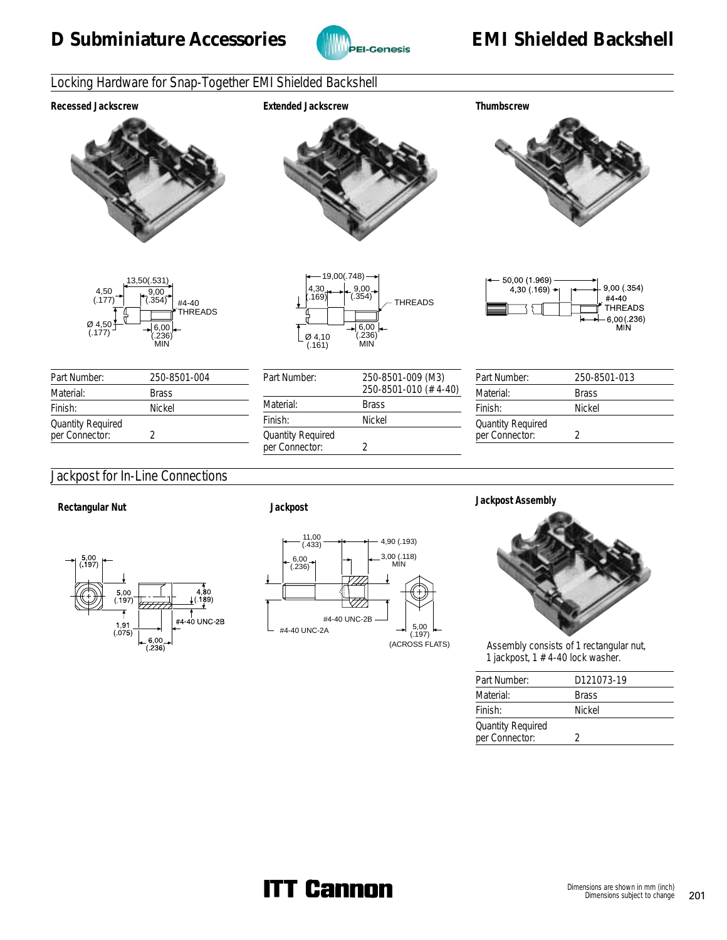

# Locking Hardware for Snap-Together EMI Shielded Backshell

#### **Recessed Jackscrew Extended Jackscrew Thumbscrew**





| Part Number:                               | 250-8501-004 |
|--------------------------------------------|--------------|
| Material:                                  | <b>Brass</b> |
| Finish:                                    | Nickel       |
| <b>Quantity Required</b><br>per Connector: |              |
|                                            |              |

# Jackpost for In-Line Connections



 $\sim$ 





 Assembly consists of 1 rectangular nut, 1 jackpost,  $1 \#4-40$  lock washer.

| Part Number:                               | D121073-19    |
|--------------------------------------------|---------------|
| Material:                                  | <b>Brass</b>  |
| Finish:                                    | <b>Nickel</b> |
| <b>Quantity Required</b><br>per Connector: |               |

#### 4,30 (.169) 6,00 (.236) MIN Ø 4,10 (.161) THREADS  $-19,00(.748)$ 9,00 (.354)

| Part Number:                               | 250-8501-009 (M3)<br>250-8501-010 (#4-40) |
|--------------------------------------------|-------------------------------------------|
| Material:                                  | <b>Brass</b>                              |
| Finish:                                    | Nickel                                    |
| <b>Quantity Required</b><br>per Connector: | 7                                         |



| Part Number:                               | 250-8501-013 |
|--------------------------------------------|--------------|
| Material:                                  | <b>Brass</b> |
| Finish:                                    | Nickel       |
| <b>Quantity Required</b><br>per Connector: |              |
|                                            |              |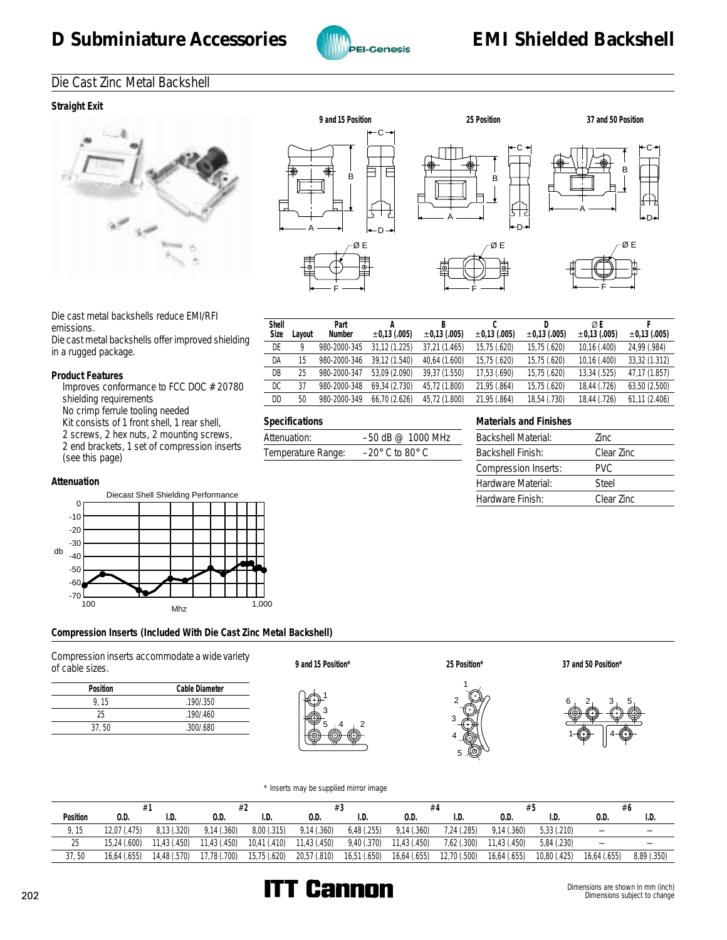

# Die Cast Zinc Metal Backshell

#### **Straight Exit**





**C** ±**0,13 (.005)**

**D** ±**0,13 (.005)**

**Materials and Finishes**

Backshell Material: Zinc Backshell Finish: Clear Zinc Compression Inserts: PVC Hardware Material: Steel Hardware Finish: Clear Zinc

X **E** ±**0,13 (.005)**

**F** ±**0,13 (.005)**

Die cast metal backshells reduce EMI/RFI emissions.

Die cast metal backshells offer improved shielding in a rugged package.

#### **Product Features**

 Improves conformance to FCC DOC #20780 shielding requirements

No crimp ferrule tooling needed

Kit consists of 1 front shell, 1 rear shell,

2 screws, 2 hex nuts, 2 mounting screws, 2 end brackets, 1 set of compression inserts (see this page)

#### **Attenuation**



#### **Compression Inserts (Included With Die Cast Zinc Metal Backshell)**

Compression inserts accommodate a wide variety of cable sizes. **9 and 15 Position\***

| Position | Cable Diameter |
|----------|----------------|
| 9.15     | .190/.350      |
| 25       | .190/0.460     |
| 37.50    | .300/0.680     |



Shell<br>Size

**Layout** 

**Specifications**

**Part Number**

Attenuation: -50 dB @ 1000 MHz Temperature Range: –20° C to 80° C

**A** ±**0,13 (.005)**

**B** ±**0,13 (.005)**

DE 9 980-2000-345 31,12 (1.225) 37,21 (1.465) 15,75 (.620) 15,75 (.620) 10,16 (.400) 24,99 (.984) DA 15 980-2000-346 39,12 (1.540) 40,64 (1.600) 15,75 (.620) 15,75 (.620) 10,16 (.400) 33,32 (1.312) DB 25 980-2000-347 53,09 (2.090) 39,37 (1.550) 17,53 (.690) 15,75 (.620) 13,34 (.525) 47,17 (1.857) DC 37 980-2000-348 69,34 (2.730) 45,72 (1.800) 21,95 (.864) 15,75 (.620) 18,44 (.726) 63,50 (2.500) DD 50 980-2000-349 66,70 (2.626) 45,72 (1.800) 21,95 (.864) 18,54 (.730) 18,44 (.726) 61,11 (2.406)





**25 Position\* 37 and 50 Position\***



#### \* Inserts may be supplied mirror image

|                 |              |              |              |              | #3           |             |              | #4           |              |              | #6                       |             |
|-----------------|--------------|--------------|--------------|--------------|--------------|-------------|--------------|--------------|--------------|--------------|--------------------------|-------------|
| Position        | 0.D          | I.D          | 0.D          | I.D.         | 0.D.         | I.D.        | 0.D.         | I.D          | 0.D.         | I.D.         | 0.D                      | I.D.        |
| 9, 15           | 12.07 (.475) | 8.13(.320)   | 9,14(.360)   | 8,00(.315)   | 9,14(.360)   | 6,48(.255)  | 9.14(.360)   | 7,24 (.285)  | 9.14(.360)   | 5,33(.210)   | $\overline{\phantom{m}}$ |             |
| $\Omega$<br>-25 | 15.24 (.600) | 11.43 (.450) | 11,43 (.450) | 10,41 (.410) | 11,43 (.450) | 9,40 (.370) | 11,43 (.450) | 7,62(.300)   | 11.43 (.450) | 5.84 (.230)  | $\overline{\phantom{m}}$ |             |
| 37,50           | 16,64 (.655) | 14,48 (.570) | 17,78 (.700) | 15,75 (.620) | 20,57 (.810) | 16,51(.650) | 16,64 (.655) | 12,70 (.500) | 16,64 (.655) | 10,80 (.425) | 16,64 (.655)             | 8,89 (.350) |

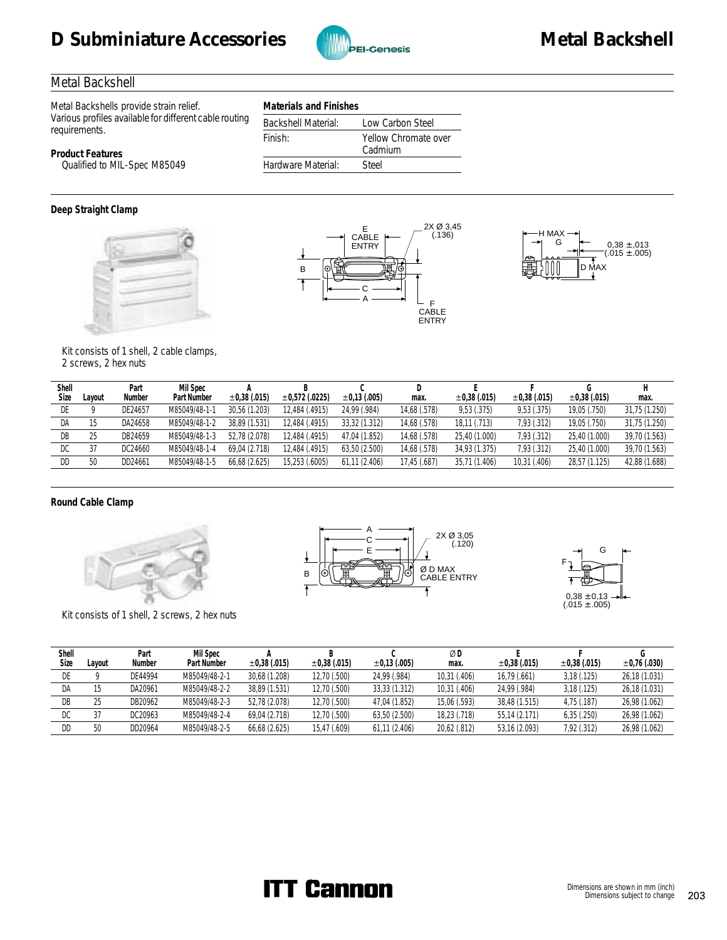# D Subminiature Accessories **MEXIS Accessories** Metal Backshell



# Metal Backshell

**Product Features**

Metal Backshells provide strain relief. Various profiles available for different cable routing requirements.

| Materials and Finishes     |                                 |
|----------------------------|---------------------------------|
| <b>Backshell Material:</b> | Low Carbon Steel                |
| Finish:                    | Yellow Chromate over<br>Cadmium |
| Hardware Material:         | Steel                           |
|                            |                                 |

Qualified to MIL-Spec M85049







#### Kit consists of 1 shell, 2 cable clamps, 2 screws, 2 hex nuts

| Shell<br>Size | Lavout | Part<br>Number | Mil Spec<br>Part Number | $\pm 0.38$ (.015) | $\pm 0.572$ (.0225) | $\pm 0.13$ (.005) | max.         | $\pm 0.38$ (.015) | $\pm 0.38$ (.015) | $\pm 0.38$ (.015) | max.          |
|---------------|--------|----------------|-------------------------|-------------------|---------------------|-------------------|--------------|-------------------|-------------------|-------------------|---------------|
| DE            |        | DE24657        | M85049/48-1-1           | 30.56 (1.203)     | 12.484 (.4915)      | 24,99 (.984)      | 14,68 (.578) | 9,53(.375)        | 9,53(.375)        | 19,05 (.750)      | 31,75 (1.250) |
| DA            |        | DA24658        | M85049/48-1-2           | 38.89 (1.531)     | 12.484 (.4915)      | 33,32 (1.312)     | 14,68 (.578) | 18,11 (.713)      | 7,93 (.312)       | 19,05 (.750)      | 31,75 (1.250) |
| DB            | 25     | DB24659        | M85049/48-1-3           | 52.78 (2.078)     | 12.484 (.4915)      | 47.04 (1.852)     | 14.68 (.578) | 25,40 (1.000)     | 7.93 (.312)       | 25.40 (1.000)     | 39,70 (1.563) |
| DC            |        | DC24660        | M85049/48-1-4           | 69.04 (2.718)     | 12.484 (.4915)      | 63.50 (2.500)     | 14.68 (.578) | 34.93 (1.375)     | 7.93 (.312)       | 25.40 (1.000)     | 39,70 (1.563) |
| DD            | 50     | DD24661        | M85049/48-1-5           | 66,68 (2.625)     | 15,253 (.6005)      | 61,11 (2.406)     | 17,45 (.687) | 35,71 (1.406)     | 10,31 (.406)      | 28,57 (1.125)     | 42,88 (1.688) |

#### **Round Cable Clamp**



Kit consists of 1 shell, 2 screws, 2 hex nuts





| Shell<br>Size | ∟avout | Part<br>Number | Mil Spec<br>Part Number | ±0,38(.015)   | $\pm 0.38$ (.015) | $\pm 0.13$ (.005) | ØD<br>max.   | $\pm 0.38$ (.015) | $\pm 0.38$ (.015) | $\pm 0.76$ (.030) |
|---------------|--------|----------------|-------------------------|---------------|-------------------|-------------------|--------------|-------------------|-------------------|-------------------|
| DE            |        | DE44994        | M85049/48-2-1           | 30,68 (1.208) | 12,70 (.500)      | 24.99 (.984)      | 10,31 (.406) | 16.79 (.661)      | 3,18(.125)        | 26,18 (1.031)     |
|               |        |                |                         |               |                   |                   |              |                   |                   |                   |
| DA            |        | DA20961        | M85049/48-2-2           | 38.89 (1.531) | 12.70 (.500)      | 33.33 (1.312)     | 10.31 (.406) | 24.99 (.984)      | 3,18(.125)        | 26,18 (1.031)     |
| DB            |        | DB20962        | M85049/48-2-3           | 52.78 (2.078) | 12.70 (.500)      | 47.04 (1.852)     | 15.06 (.593) | 38.48 (1.515)     | 4.75 (.187)       | 26,98 (1.062)     |
| DC            |        | DC20963        | M85049/48-2-4           | 69.04 (2.718) | 12,70 (.500)      | 63,50 (2.500)     | 18,23 (.718) | 55,14 (2.171)     | 6,35(.250)        | 26,98 (1.062)     |
| DD            | 50     | DD20964        | M85049/48-2-5           | 66,68 (2.625) | 15.47 (.609)      | 61.11(2.406)      | 20,62 (.812) | 53,16 (2.093)     | 7,92 (.312)       | 26,98 (1.062)     |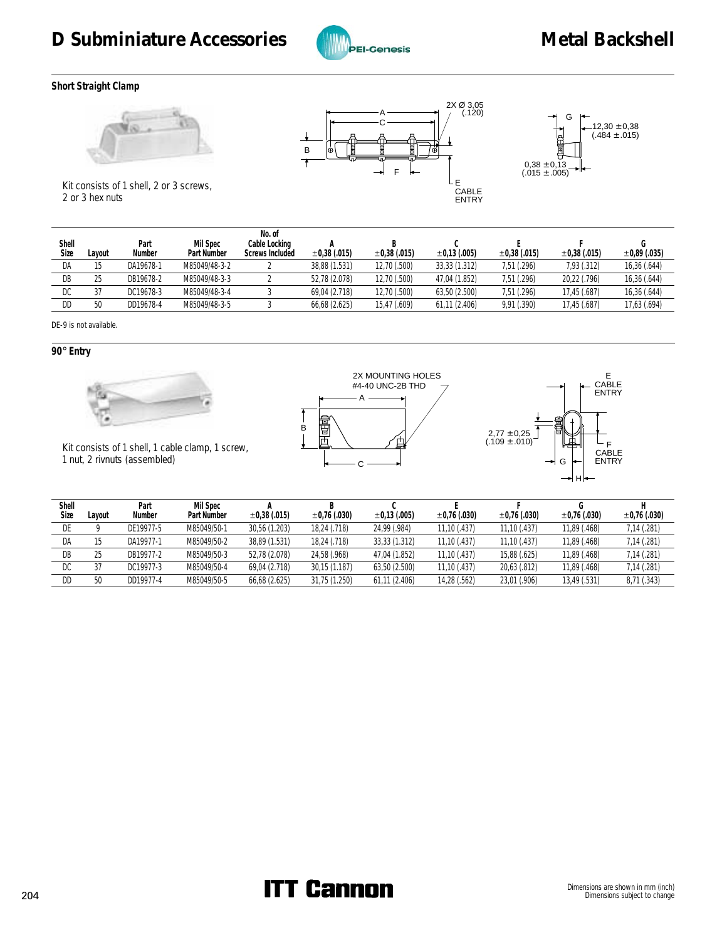

#### **Short Straight Clamp**







 Kit consists of 1 shell, 2 or 3 screws, 2 or 3 hex nuts

| Shell<br>Size | _avout | Part<br>Number | Mil Spec<br>Part Number | No. of<br>Cable Locking<br>Screws Included | $\pm 0.38$ (.015) | $\pm 0.38$ (.015) | $\pm 0.13$ (.005) | $\pm 0.38$ (.015) | $\pm 0.38$ (.015) | ±0,89(.035)  |
|---------------|--------|----------------|-------------------------|--------------------------------------------|-------------------|-------------------|-------------------|-------------------|-------------------|--------------|
| DA            |        | DA19678-1      | M85049/48-3-2           |                                            | 38.88 (1.531)     | 12.70 (.500)      | 33.33 (1.312)     | 7.51 (.296)       | 7,93 (.312)       | 16,36 (.644) |
| DB            |        | DB19678-2      | M85049/48-3-3           |                                            | 52.78 (2.078)     | 12.70 (.500)      | 47.04 (1.852)     | 7.51 (.296)       | 20,22 (.796)      | 16,36 (.644) |
| DC            |        | DC19678-3      | M85049/48-3-4           |                                            | 69.04 (2.718)     | 12,70 (.500)      | 63,50 (2.500)     | 7,51 (.296)       | 17,45 (.687)      | 16,36 (.644) |
| DD            | 50     | DD19678-4      | M85049/48-3-5           |                                            | 66,68 (2.625)     | 15,47 (.609)      | 61,11 (2.406)     | 9,91 (.390)       | 17,45 (.687)      | 17,63 (.694) |
|               |        |                |                         |                                            |                   |                   |                   |                   |                   |              |

DE-9 is not available.

**90**° **Entry**



 Kit consists of 1 shell, 1 cable clamp, 1 screw, 1 nut, 2 rivnuts (assembled)





| Shell |        | Part      | Mil Spec    |                   |                   |                   |                   |                   |                   |                   |
|-------|--------|-----------|-------------|-------------------|-------------------|-------------------|-------------------|-------------------|-------------------|-------------------|
| Size  | Lavout | Number    | Part Number | $\pm 0.38$ (.015) | $\pm 0.76$ (.030) | $\pm 0.13$ (.005) | $\pm 0.76$ (.030) | $\pm 0.76$ (.030) | $\pm 0.76$ (.030) | $\pm 0.76$ (.030) |
|       |        | DE19977-5 | M85049/50-1 | 30.56 (1.203)     | 18.24 (.718)      | 24.99 (.984)      | 11.10 (.437)      | 11.10(0.437)      | 11,89 (.468)      | 7,14 (.281)       |
| DA    |        | DA19977-1 | M85049/50-2 | 38.89 (1.531)     | 18.24 (.718)      | 33.33 (1.312)     | 11.10 (.437)      | 11.10 (.437)      | 11.89 (.468)      | 7,14 (.281)       |
| DB    |        | DB19977-2 | M85049/50-3 | 52.78 (2.078)     | 24.58 (.968)      | 47.04 (1.852)     | 11.10(0.437)      | 15.88 (.625)      | 11.89 (.468)      | 7.14 (.281)       |
| DC    |        | DC19977-3 | M85049/50-4 | 69.04 (2.718)     | 30.15 (1.187)     | 63.50 (2.500)     | 11.10 (.437)      | 20.63 (.812)      | 11.89 (.468)      | 7,14 (.281)       |
| DD    |        | DD19977-4 | M85049/50-5 | 66.68 (2.625)     | 31.75 (1.250)     | 61.11(2.406)      | 14.28 (.562)      | 23.01 (.906)      | 13.49 (.531)      | 8,71 (.343)       |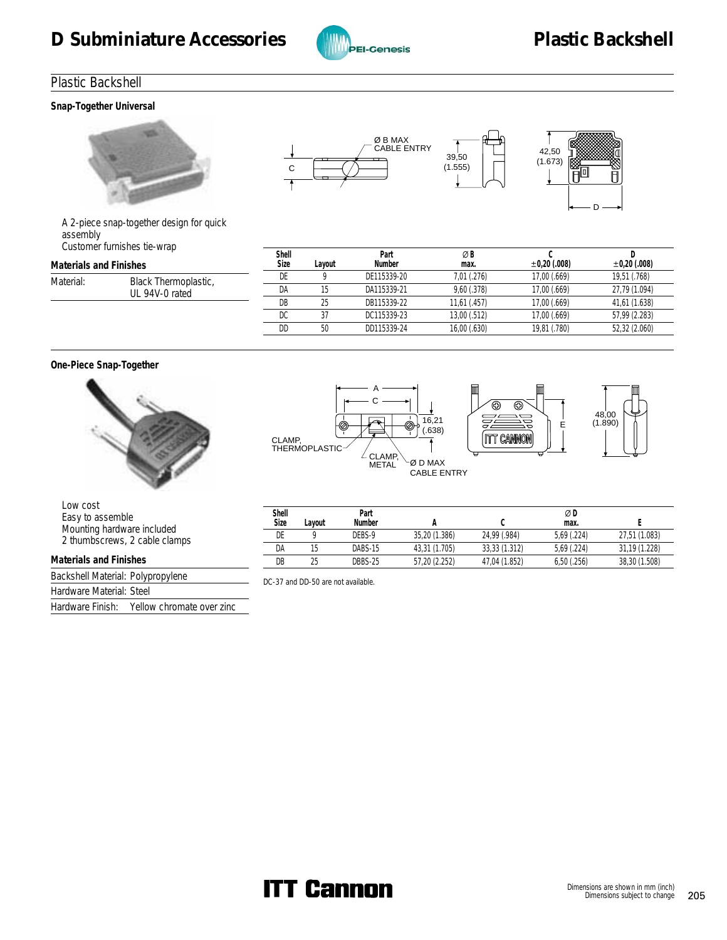

# Plastic Backshell

**Snap-Together Universal**







 A 2-piece snap-together design for quick assembly Customer furnishes tie-wrap

|                        | <b>Castoffici Turnishes tic Wrap</b> | Shell |        | Part        | ØB           |                   |                   |
|------------------------|--------------------------------------|-------|--------|-------------|--------------|-------------------|-------------------|
| Materials and Finishes |                                      | Size  | Lavout | Number      | max.         | $\pm 0.20$ (.008) | $\pm 0.20$ (.008) |
| Material:              | Black Thermoplastic,                 |       |        | DE115339-20 | 7.01(.276)   | 17.00 (.669)      | 19,51 (.768)      |
|                        | UL 94V-0 rated                       | DA    |        | DA115339-21 | 9.60(.378)   | 17.00 (.669)      | 27,79 (1.094)     |
|                        |                                      | DB    |        | DB115339-22 | 11.61(.457)  | 17.00 (.669)      | 41,61 (1.638)     |
|                        |                                      | DC    |        | DC115339-23 | 13.00 (.512) | 17.00 (.669)      | 57,99 (2.283)     |
|                        |                                      | DD    | 50     | DD115339-24 | 16,00(.630)  | 19,81 (.780)      | 52,32 (2.060)     |
|                        |                                      |       |        |             |              |                   |                   |

#### **One-Piece Snap-Together**



Hardware Finish: Yellow chromate over zinc







 Low cost Easy to assemble Mounting hardware included 2 thumbscrews, 2 cable clamps **Materials and Finishes** Backshell Material: Polypropylene Hardware Material: Steel **Shell Layout Part Number A C** X **D max. E** DE 9 DEBS-9 35,20 (1.386) 24,99 (.984) 5,69 (.224) 27,51 (1.083) DA 15 DABS-15 43,31 (1.705) 33,33 (1.312) 5,69 (.224) 31,19 (1.228) DB 25 DBBS-25 57,20 (2.252) 47,04 (1.852) 6,50 (.256) 38,30 (1.508) DC-37 and DD-50 are not available.

**ITT Cannon**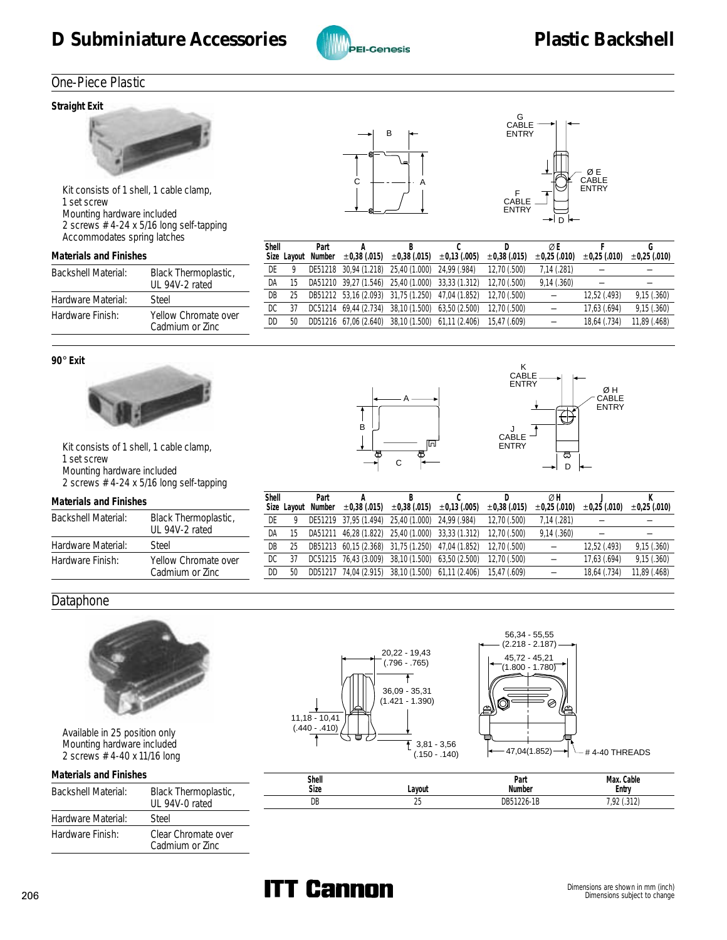# D Subminiature Accessories **Container Backshell** Plastic Backshell



# One-Piece Plastic

#### **Straight Exit**



 Kit consists of 1 shell, 1 cable clamp, 1 set screw Mounting hardware included 2 screws #4-24 x 5/16 long self-tapping Accommodates spring latches

#### **Materials and Finishes**

| Backshell Material: | Black Thermoplastic,<br>UL 94V-2 rated  |
|---------------------|-----------------------------------------|
| Hardware Material:  | Steel                                   |
| Hardware Finish:    | Yellow Chromate over<br>Cadmium or Zinc |





| Shell |    | Part |                                                   | <sup>B</sup> |                                                                          |                   | ØE                |                   |                   |
|-------|----|------|---------------------------------------------------|--------------|--------------------------------------------------------------------------|-------------------|-------------------|-------------------|-------------------|
|       |    |      |                                                   |              | Size Layout Number $\pm 0.38$ (.015) $\pm 0.38$ (.015) $\pm 0.13$ (.005) | $\pm 0.38$ (.015) | $\pm 0.25$ (.010) | $\pm 0.25$ (.010) | $\pm 0.25$ (.010) |
| DE    |    |      | DE51218 30,94 (1.218) 25,40 (1.000) 24,99 (.984)  |              |                                                                          | 12.70 (.500)      | 7,14(.281)        |                   |                   |
| DA    | 15 |      |                                                   |              | DA51210 39,27 (1.546) 25,40 (1.000) 33,33 (1.312)                        | 12.70 (.500)      | 9,14(.360)        |                   |                   |
| DB    | 25 |      |                                                   |              | DB51212 53,16 (2.093) 31,75 (1.250) 47,04 (1.852)                        | 12,70 (.500)      |                   | 12,52 (.493)      | 9,15(.360)        |
| DC    | 37 |      | DC51214 69,44 (2.734) 38,10 (1.500) 63,50 (2.500) |              |                                                                          | 12,70 (.500)      |                   | 17,63 (.694)      | 9,15(.360)        |
| DD    | 50 |      |                                                   |              | DD51216 67,06 (2.640) 38,10 (1.500) 61,11 (2.406)                        | 15.47 (.609)      |                   | 18,64 (.734)      | 11,89 (.468)      |
|       |    |      |                                                   |              |                                                                          |                   |                   |                   |                   |

#### **90**° **Exit**



 Kit consists of 1 shell, 1 cable clamp, 1 set screw Mounting hardware included 2 screws #4-24 x 5/16 long self-tapping

#### **Materials and Finishes**

| <b>Backshell Material:</b> | Black Thermoplastic,<br>UL 94V-2 rated  |
|----------------------------|-----------------------------------------|
| Hardware Material:         | Steel                                   |
| Hardware Finish:           | Yellow Chromate over<br>Cadmium or Zinc |





| Shell | Part               |                   |                                                   |                                                   |                   | ØΗ                |                   |                   |
|-------|--------------------|-------------------|---------------------------------------------------|---------------------------------------------------|-------------------|-------------------|-------------------|-------------------|
|       | Size Layout Number | $\pm 0.38$ (.015) | $\pm 0.38$ (.015) $\pm 0.13$ (.005)               |                                                   | $\pm 0.38$ (.015) | $\pm 0.25$ (.010) | $\pm 0.25$ (.010) | $\pm 0.25$ (.010) |
| DE    |                    |                   | DE51219 37,95 (1.494) 25,40 (1.000) 24,99 (.984)  |                                                   | 12.70 (.500)      | 7,14(.281)        |                   |                   |
| DA    |                    |                   | DA51211 46,28 (1.822) 25,40 (1.000) 33,33 (1.312) |                                                   | 12.70 (.500)      | 9,14(.360)        |                   |                   |
| DB    |                    |                   |                                                   | DB51213 60,15 (2.368) 31,75 (1.250) 47,04 (1.852) | 12.70 (.500)      |                   | 12,52 (.493)      | 9,15(.360)        |
| DC    |                    |                   | DC51215 76,43 (3.009) 38,10 (1.500) 63,50 (2.500) |                                                   | 12.70 (.500)      |                   | 17.63 (.694)      | 9,15(.360)        |
| DD    |                    |                   |                                                   | DD51217 74,04 (2.915) 38,10 (1.500) 61,11 (2.406) | 15.47 (.609)      |                   | 18.64 (.734)      | 11,89 (.468)      |
|       |                    |                   |                                                   |                                                   |                   |                   |                   |                   |

# **Dataphone**



 Available in 25 position only Mounting hardware included 2 screws #4-40 x 11/16 long

| Materials and Finishes |                                        |  |  |  |  |
|------------------------|----------------------------------------|--|--|--|--|
| Backshell Material:    | Black Thermoplastic,<br>UL 94V-0 rated |  |  |  |  |
| Hardware Material:     | Steel                                  |  |  |  |  |
| Hardware Finish:       |                                        |  |  |  |  |





| Shell<br>Size | Lavout  | Part<br>Number  | Cable<br>Max.<br>Entry                                      |
|---------------|---------|-----------------|-------------------------------------------------------------|
| DB            | ገፍ<br>້ | 51226-1B<br>DB5 | 242<br>10 <sup>o</sup><br>ے ایں<br>$\overline{\phantom{a}}$ |

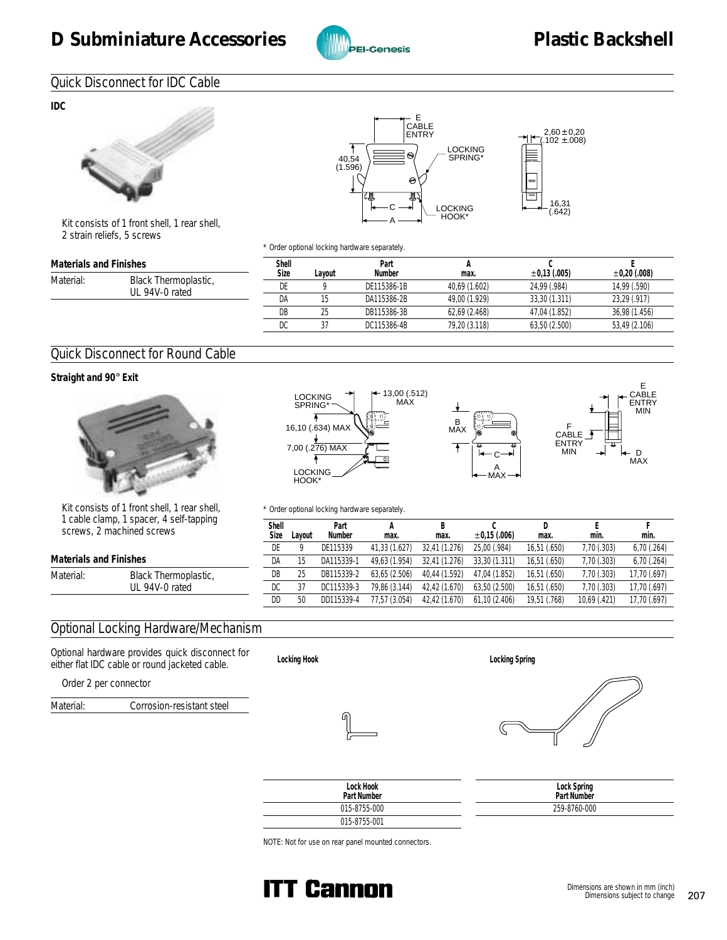

# Quick Disconnect for IDC Cable

**IDC**



 Kit consists of 1 front shell, 1 rear shell, 2 strain reliefs, 5 screws





\* Order optional locking hardware separately.

| Materials and Finishes |                                        | Shell |        | Part        |               |                   |                   |
|------------------------|----------------------------------------|-------|--------|-------------|---------------|-------------------|-------------------|
|                        |                                        | Size  | Lavout | Number      | max.          | $\pm 0.13$ (.005) | $\pm 0.20$ (.008) |
| Material:              | Black Thermoplastic,<br>UL 94V-0 rated | DE    |        | DE115386-1B | 40.69 (1.602) | 24.99 (.984)      | 14.99 (.590)      |
|                        |                                        | DA    |        | DA115386-2B | 49.00 (1.929) | 33,30 (1.311)     | 23,29 (.917)      |
|                        |                                        | DB    | 25     | DB115386-3B | 62.69 (2.468) | 47.04 (1.852)     | 36.98 (1.456)     |
|                        |                                        | DC    |        | DC115386-4B | 79,20 (3.118) | 63,50 (2.500)     | 53,49 (2.106)     |

# Quick Disconnect for Round Cable

**Straight and 90**° **Exit**



 Kit consists of 1 front shell, 1 rear shell,  $1$  calf-tapping screws, 2 machined screws







\* Order optional locking hardware separately.

|                        | i cabie ciality, i spacei, 4 seil-tappilių.<br>screws, 2 machined screws | Shell<br>Size | Lavout | Part<br>Number | max.          | max.          | $\pm 0.15$ (.006) | max.         | min.         | min.         |
|------------------------|--------------------------------------------------------------------------|---------------|--------|----------------|---------------|---------------|-------------------|--------------|--------------|--------------|
|                        |                                                                          | DE            |        | DE115339       | 41.33 (1.627) | 32.41 (1.276) | 25.00 (.984)      | 16,51 (.650) | 7,70 (.303)  | 6,70(.264)   |
| Materials and Finishes |                                                                          | DA            |        | DA115339-1     | 49,63 (1.954) | 32,41 (1.276) | 33,30 (1.311)     | 16,51 (.650) | 7,70 (.303)  | 6,70(.264)   |
| Material:              | Black Thermoplastic,                                                     | DB            | 25     | DB115339-2     | 63.65 (2.506) | 40.44 (1.592) | 47.04 (1.852)     | 16.51 (.650) | 7,70 (.303)  | 17,70 (.697) |
|                        | UL 94V-0 rated                                                           | DC            | 37     | DC115339-3     | 79.86 (3.144) | 42.42 (1.670) | 63.50 (2.500)     | 16,51 (.650) | 7,70 (.303)  | 17,70 (.697) |
|                        |                                                                          | DD            | 50     | DD115339-4     | 77.57 (3.054) | 42.42 (1.670) | 61.10(2.406)      | 19.51 (.768) | 10.69 (.421) | 17,70 (.697) |
|                        |                                                                          |               |        |                |               |               |                   |              |              |              |

# Optional Locking Hardware/Mechanism

Optional hardware provides quick disconnect for either flat IDC cable or round jacketed cable.

Order 2 per connector

Material: Corrosion-resistant steel







| Lock Hook<br>Part Number | Lock Spring<br>Part Number |
|--------------------------|----------------------------|
| 015-8755-000             | 259-8760-000               |
| 015-8755-001             |                            |

NOTE: Not for use on rear panel mounted connectors.

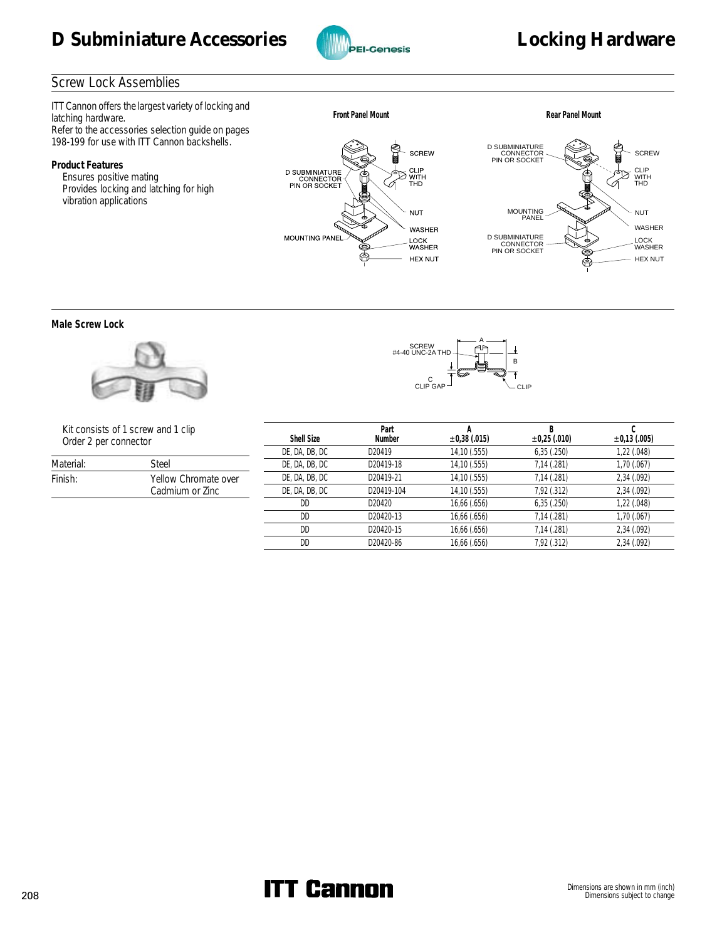



# Screw Lock Assemblies

ITT Cannon offers the largest variety of locking and latching hardware. Refer to the accessories selection guide on pages 198-199 for use with ITT Cannon backshells.

**Product Features**

 Ensures positive mating Provides locking and latching for high vibration applications





**Male Screw Lock**



 Kit consists of 1 screw and 1 clip Order 2 per connector

| Material: | Steel                                   |
|-----------|-----------------------------------------|
| Finish:   | Yellow Chromate over<br>Cadmium or Zinc |
|           |                                         |



|                   | Part       |                   | R                 |                   |
|-------------------|------------|-------------------|-------------------|-------------------|
| <b>Shell Size</b> | Number     | $\pm 0.38$ (.015) | $\pm 0.25$ (.010) | $\pm 0.13$ (.005) |
| DE, DA, DB, DC    | D20419     | 14,10 (.555)      | 6,35(.250)        | 1,22 (.048)       |
| DE, DA, DB, DC    | D20419-18  | 14,10 (.555)      | 7,14 (.281)       | 1,70(.067)        |
| DE, DA, DB, DC    | D20419-21  | 14,10 (.555)      | 7,14 (.281)       | 2,34 (.092)       |
| DE, DA, DB, DC    | D20419-104 | 14,10 (.555)      | 7,92 (.312)       | 2,34 (.092)       |
| DD                | D20420     | 16,66 (.656)      | 6,35(.250)        | 1,22 (.048)       |
| DD                | D20420-13  | 16,66 (.656)      | 7,14 (.281)       | 1,70(.067)        |
| DD                | D20420-15  | 16,66 (.656)      | 7,14 (.281)       | 2,34 (.092)       |
| DD                | D20420-86  | 16,66 (.656)      | 7,92 (.312)       | 2,34 (.092)       |
|                   |            |                   |                   |                   |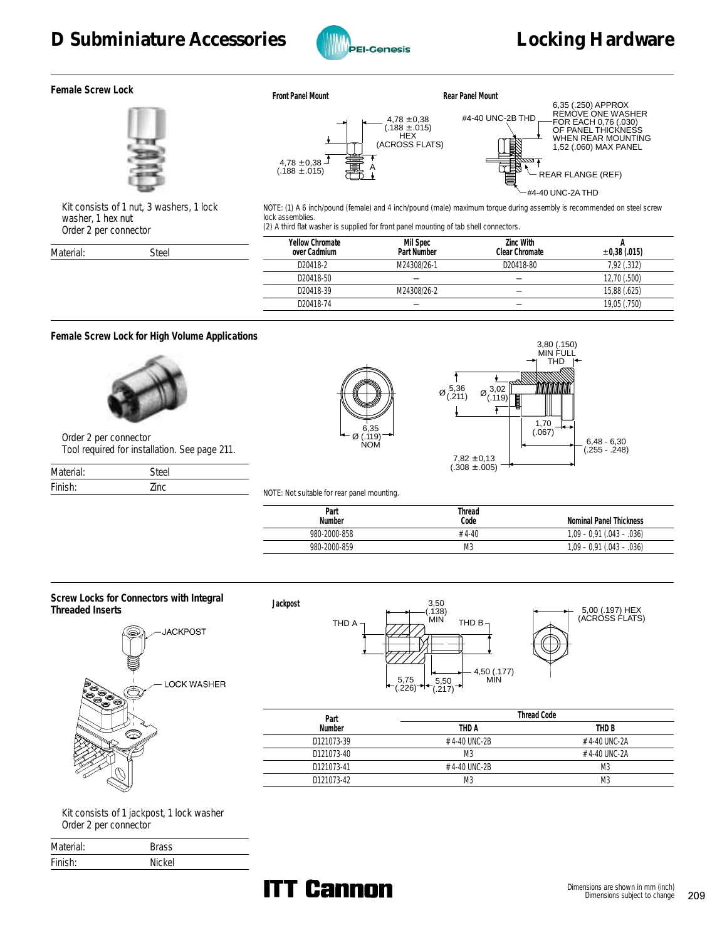# D Subminiature Accessories **Community Contains the Subminiature Accessories Locking Hardware**



**Female Screw Lock**



 $4,78 \pm 0,38$ (.188 ± .015) HEX (ACROSS FLATS) ₫  $4,78 \pm 0,38$  $(188 \pm .015)$   $\frac{1}{21}$ 



 Kit consists of 1 nut, 3 washers, 1 lock washer, 1 hex nut Order 2 per connector

Material: Steel

NOTE: (1) A 6 inch/pound (female) and 4 inch/pound (male) maximum torque during assembly is recommended on steel screw lock assemblies. (2) A third flat washer is supplied for front panel mounting of tab shell connectors.

| Yellow Chromate<br>over Cadmium | Mil Spec<br>Part Number | Zinc With<br>Clear Chromate | $\pm 0.38$ (.015) |
|---------------------------------|-------------------------|-----------------------------|-------------------|
| D20418-2                        | M24308/26-1             | D20418-80                   | 7,92 (.312)       |
| D20418-50                       |                         |                             | 12,70 (.500)      |
| D20418-39                       | M24308/26-2             |                             | 15,88 (.625)      |
| D20418-74                       |                         |                             | 19,05 (.750)      |

#### **Female Screw Lock for High Volume Applications**



 Order 2 per connector Tool required for installation. See page 211.

| Material: | Steel |
|-----------|-------|
| Finish:   | 7inc  |





NOTE: Not suitable for rear panel mounting.

**Jackpost**

| Part<br>Number | Thread<br>Code | Nominal Panel Thickness     |
|----------------|----------------|-----------------------------|
| 980-2000-858   | $#4-40$        | $1,09 - 0.91$ (.043 - .036) |
| 980-2000-859   | M3             | $1,09 - 0.91$ (.043 - .036) |





5,00 (.197) HEX (ACROSS FLATS)

| Part       |                | Thread Code    |
|------------|----------------|----------------|
| Number     | THD A          | THD B          |
| D121073-39 | #4-40 UNC-2B   | #4-40 UNC-2A   |
| D121073-40 | M3             | #4-40 UNC-2A   |
| D121073-41 | #4-40 UNC-2B   | M3             |
| D121073-42 | M <sub>3</sub> | M <sub>3</sub> |

 Kit consists of 1 jackpost, 1 lock washer Order 2 per connector

| Material: | Brass  |
|-----------|--------|
| Finish:   | Nickel |

# **ITT Cannon**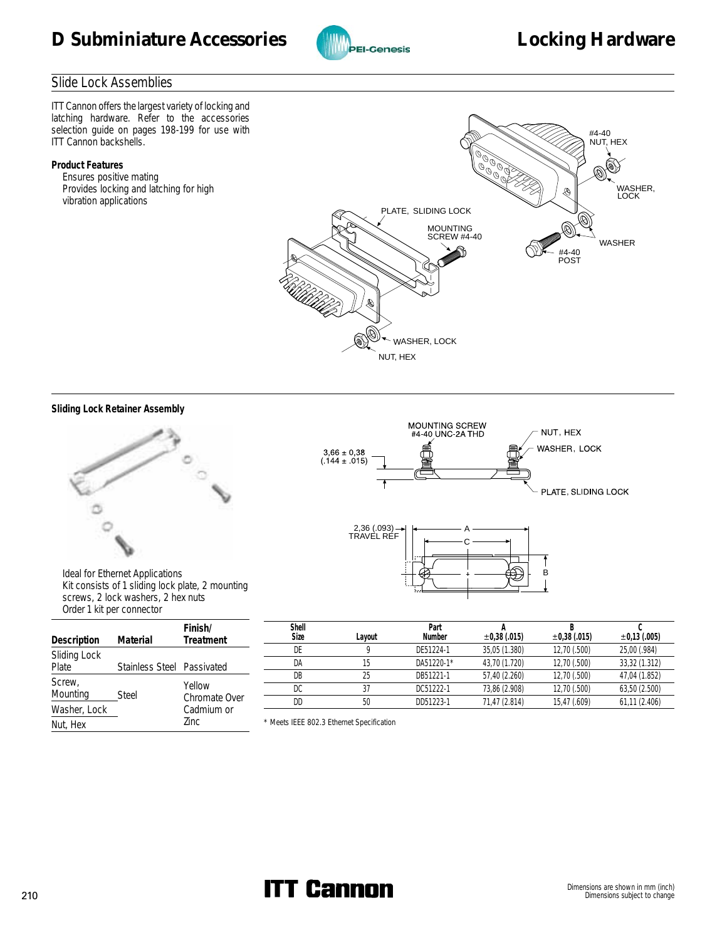



## Slide Lock Assemblies

ITT Cannon offers the largest variety of locking and latching hardware. Refer to the accessories selection guide on pages 198-199 for use with ITT Cannon backshells.

#### **Product Features**

 Ensures positive mating Provides locking and latching for high vibration applications



#### **Sliding Lock Retainer Assembly**





|                       | <b>DIUGE ENTERGE COMMUNICUL</b> |                         |  |  |  |  |  |  |
|-----------------------|---------------------------------|-------------------------|--|--|--|--|--|--|
| Description           | Material                        | Finish/<br>Treatment    |  |  |  |  |  |  |
| Sliding Lock<br>Plate | Stainless Steel Passivated      |                         |  |  |  |  |  |  |
| Screw,<br>Mounting    | <b>Steel</b>                    | Yellow<br>Chromate Over |  |  |  |  |  |  |
| Washer, Lock          |                                 | Cadmium or              |  |  |  |  |  |  |

Nut, Hex Zinc



| Shell<br>Size | Lavout | Part<br>Number | $\pm 0.38$ (.015) | $\pm 0.38$ (.015) | $\pm 0.13$ (.005) |
|---------------|--------|----------------|-------------------|-------------------|-------------------|
| DE            |        | DE51224-1      | 35,05 (1.380)     | 12,70 (.500)      | 25,00 (.984)      |
| DA            |        | DA51220-1*     | 43,70 (1.720)     | 12,70 (.500)      | 33,32 (1.312)     |
| DB            | 25     | DB51221-1      | 57,40 (2.260)     | 12,70 (.500)      | 47,04 (1.852)     |
| DC            | 37     | DC51222-1      | 73,86 (2.908)     | 12,70 (.500)      | 63,50 (2.500)     |
| DD            | 50     | DD51223-1      | 71,47 (2.814)     | 15,47 (.609)      | 61,11 (2.406)     |

\* Meets IEEE 802.3 Ethernet Specification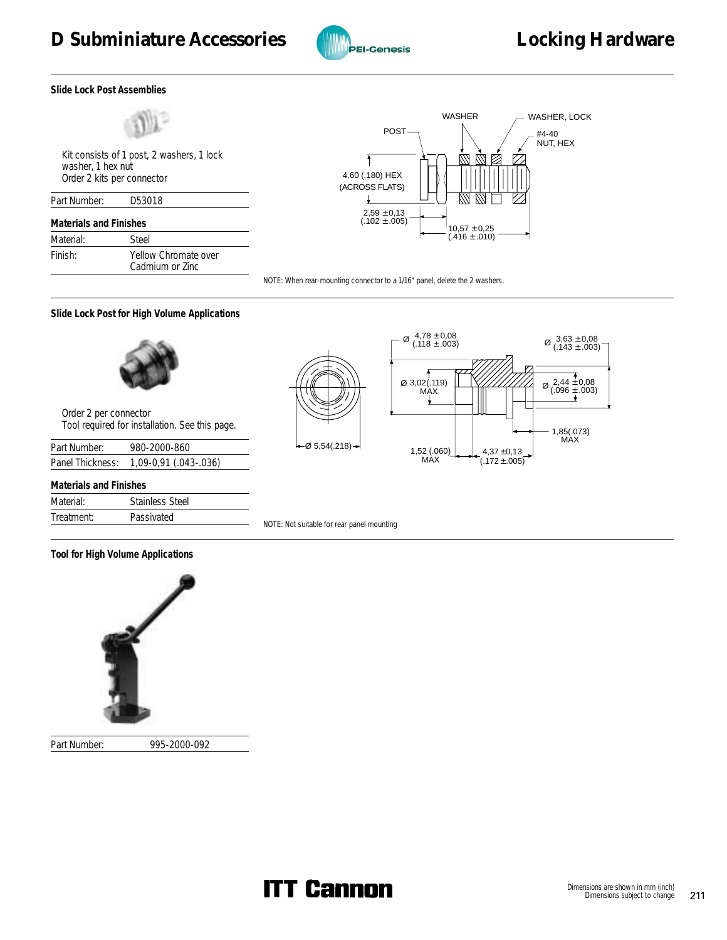

**Slide Lock Post Assemblies**



 Kit consists of 1 post, 2 washers, 1 lock washer, 1 hex nut Order 2 kits per connector

| Part Number:                  | D53018                                  |
|-------------------------------|-----------------------------------------|
| <b>Materials and Finishes</b> |                                         |
| Material:                     | Steel                                   |
| Finish:                       | Yellow Chromate over<br>Cadmium or Zinc |



NOTE: When rear-mounting connector to a 1/16" panel, delete the 2 washers.

**Slide Lock Post for High Volume Applications**



 Order 2 per connector Tool required for installation. See this page.

| Part Number:     | 980-2000-860          |
|------------------|-----------------------|
| Panel Thickness: | 1,09-0,91 (.043-.036) |

| Materials and Finishes |                        |  |  |  |  |
|------------------------|------------------------|--|--|--|--|
| Material:              | <b>Stainless Steel</b> |  |  |  |  |
| Treatment:             | Passivated             |  |  |  |  |

 $\left| \leftarrow \emptyset$  5,54(.218)  $\rightarrow$  1,52 (.060)



NOTE: Not suitable for rear panel mounting

**Tool for High Volume Applications**



Part Number: 995-2000-092

**ITT Cannon**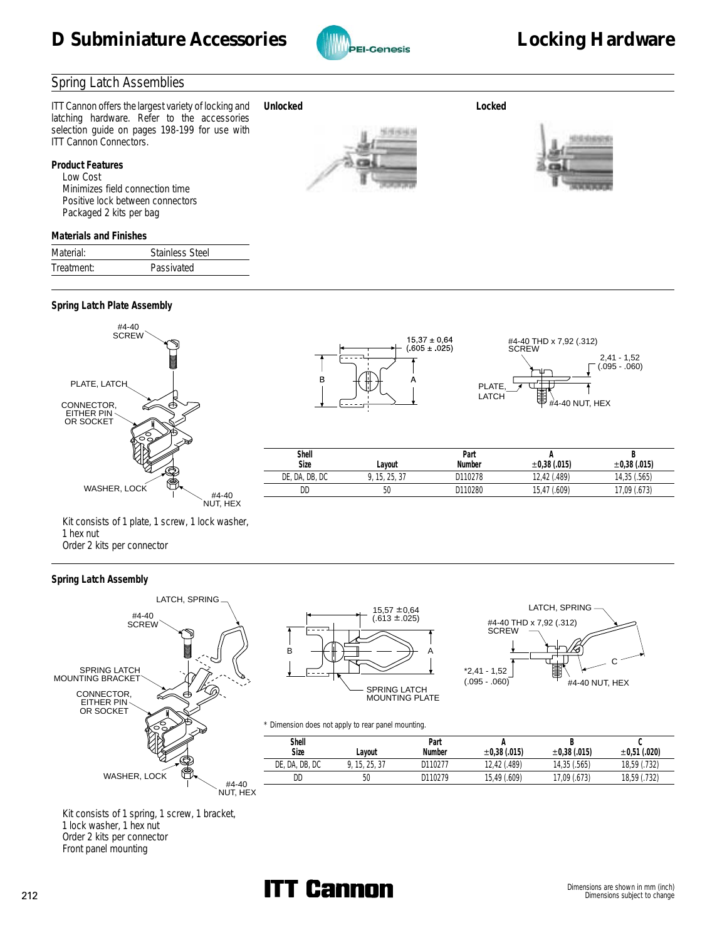

### Spring Latch Assemblies

ITT Cannon offers the largest variety of locking and latching hardware. Refer to the accessories selection guide on pages 198-199 for use with ITT Cannon Connectors. **Unlocked Locked**

**Product Features** Low Cost Minimizes field connection time Positive lock between connectors Packaged 2 kits per bag

# 15151414



#### **Materials and Finishes**

| Material:  | Stainless Steel |
|------------|-----------------|
| Treatment: | Passivated      |

## **Spring Latch Plate Assembly**



 Kit consists of 1 plate, 1 screw, 1 lock washer, 1 hex nut Order 2 kits per connector

#### **Spring Latch Assembly**





#### LATCH, SPRING #4-40 THD x 7,92 (.312) SCREW C \*2,41 - 1,52 围  $(.095 - .060)$ #4-40 NUT, HEX

#### \* Dimension does not apply to rear panel mounting.

| Þ |         |                | <b>Burner Stort Good Hot apply to real parts mounting.</b> |         |              |              |                   |
|---|---------|----------------|------------------------------------------------------------|---------|--------------|--------------|-------------------|
|   |         | Shell          |                                                            | Part    |              |              |                   |
|   |         | Size           | ∟ayout                                                     | Number  | ±0.38(.015)  | ±0.38(.015)  | $\pm 0.51$ (.020) |
|   |         | DE, DA, DB, DC | .15.25.37                                                  | D110277 | 12.42 (.489) | 14,35 (.565) | 18,59 (.732)      |
|   | $#4-40$ | DD             | 50                                                         | D110279 | 15,49 (.609) | 17,09 (.673) | 18,59 (.732)      |
|   |         |                |                                                            |         |              |              |                   |

 Kit consists of 1 spring, 1 screw, 1 bracket, 1 lock washer, 1 hex nut Order 2 kits per connector Front panel mounting

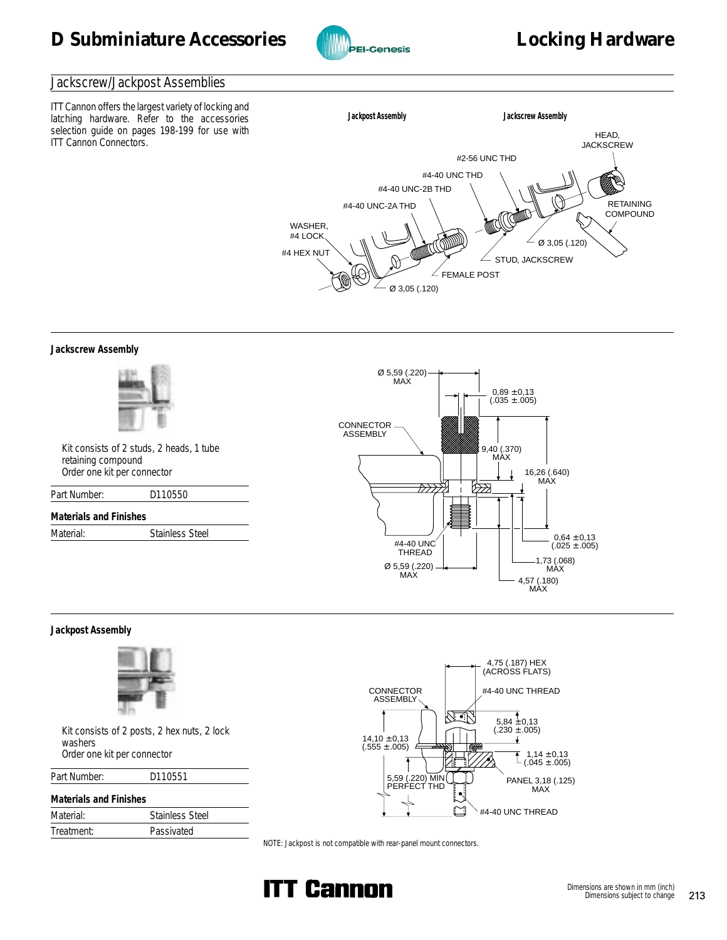

#### Jackscrew/Jackpost Assemblies

ITT Cannon offers the largest variety of locking and latching hardware. Refer to the accessories selection guide on pages 198-199 for use with ITT Cannon Connectors.



**Jackscrew Assembly**



 Kit consists of 2 studs, 2 heads, 1 tube retaining compound Order one kit per connector

| Part Number: | D110550 |  |  |
|--------------|---------|--|--|
|              |         |  |  |

**Materials and Finishes** Material: Stainless Steel



#### **Jackpost Assembly**



 Kit consists of 2 posts, 2 hex nuts, 2 lock washers Order one kit per connector

| Part Number: | D110551 |
|--------------|---------|
|--------------|---------|

## **Materials and Finishes**

| Material:  | <b>Stainless Steel</b> |
|------------|------------------------|
| Treatment: | Passivated             |
|            |                        |



NOTE: Jackpost is not compatible with rear-panel mount connectors.

![](_page_15_Picture_20.jpeg)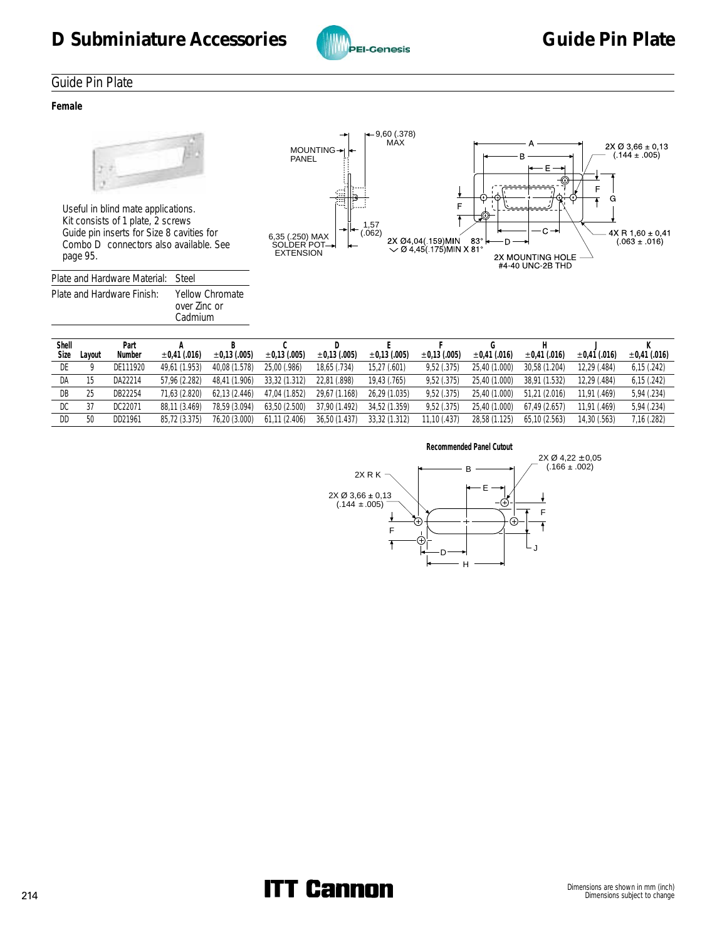![](_page_16_Picture_1.jpeg)

# Guide Pin Plate

**Female**

![](_page_16_Picture_5.jpeg)

 Useful in blind mate applications. Kit consists of 1 plate, 2 screws Guide pin inserts for Size 8 cavities for Combo D<sup>®</sup> connectors also available. See page 95.

| Plate and Hardware Material: Steel |                                                   |
|------------------------------------|---------------------------------------------------|
| Plate and Hardware Finish:         | <b>Yellow Chromate</b><br>over Zinc or<br>Cadmium |

![](_page_16_Figure_8.jpeg)

| Shell |        | Part     |                   |                   |                   |                   |                   |                   |                   |                   |                   |                   |
|-------|--------|----------|-------------------|-------------------|-------------------|-------------------|-------------------|-------------------|-------------------|-------------------|-------------------|-------------------|
| Size  | Layout | Number   | $\pm 0.41$ (.016) | $\pm 0.13$ (.005) | $\pm 0.13$ (.005) | $\pm 0.13$ (.005) | $\pm 0.13$ (.005) | $\pm 0.13$ (.005) | $\pm 0.41$ (.016) | $\pm 0.41$ (.016) | $\pm 0.41$ (.016) | $\pm 0.41$ (.016) |
| DE    |        | DE111920 | 49.61 (1.953)     | 40.08 (1.578)     | 25.00 (.986)      | 18.65 (.734)      | 15,27 (.601)      | 9.52(.375)        | 25,40 (1.000)     | 30.58 (1.204)     | 12.29 (.484)      | 6,15(.242)        |
| DA    | 15     | DA22214  | 57.96 (2.282)     | 48.41 (1.906)     | 33.32 (1.312)     | 22,81 (.898)      | 19,43 (.765)      | 9.52(.375)        | 25,40 (1.000)     | 38.91 (1.532)     | 12.29 (.484)      | 6,15(.242)        |
| DB    | 25     | DB22254  | 71.63 (2.820)     | 62.13 (2.446)     | 47,04 (1.852)     | 29.67 (1.168)     | 26.29 (1.035)     | 9.52(.375)        | 25,40 (1.000)     | 51.21 (2.016)     | 11.91 (.469)      | 5,94 (.234)       |
| DC    | 37     | DC22071  | 88.11 (3.469)     | 78.59 (3.094)     | 63.50 (2.500)     | 37.90 (1.492)     | 34.52 (1.359)     | 9.52(.375)        | 25,40 (1.000)     | 67.49 (2.657)     | 11.91 (.469)      | 5,94 (.234)       |
| DD    | 50     | DD21961  | 85.72 (3.375)     | 76.20 (3.000)     | 61,11(2.406)      | 36,50 (1.437)     | 33,32 (1.312)     | 11,10 (.437)      | 28,58 (1.125)     | 65.10 (2.563)     | 14.30 (.563)      | 7,16 (.282)       |

![](_page_16_Figure_10.jpeg)

# 214 Dimensions are shown in mm (inch)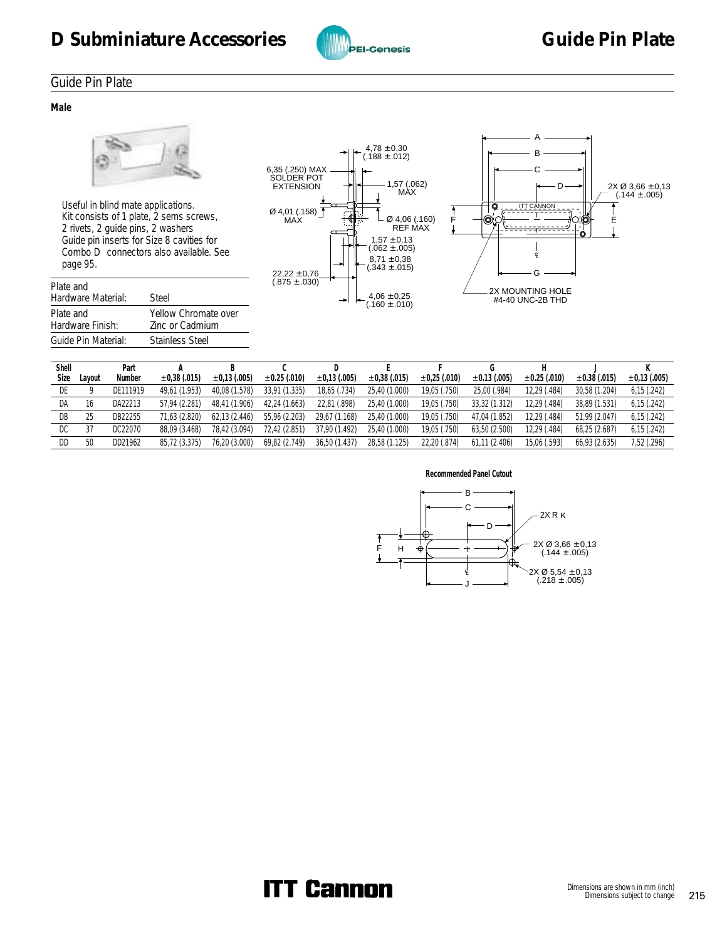![](_page_17_Picture_1.jpeg)

# Guide Pin Plate

**Male**

![](_page_17_Picture_5.jpeg)

 Useful in blind mate applications. Kit consists of 1 plate, 2 sems screws, 2 rivets, 2 guide pins, 2 washers Guide pin inserts for Size 8 cavities for Combo D<sup>®</sup> connectors also available. See page 95.

| Plate and<br>Hardware Material: | Steel                                          |
|---------------------------------|------------------------------------------------|
| Plate and<br>Hardware Finish:   | Yellow Chromate over<br><b>Zinc or Cadmium</b> |
| Guide Pin Material:             | <b>Stainless Steel</b>                         |

![](_page_17_Figure_8.jpeg)

![](_page_17_Figure_9.jpeg)

| Shell<br>Size | Lavout | Part<br>Number | $\pm 0.38$ (.015) | $\pm 0.13$ (.005) | $\pm 0.25$ (.010) | $\pm 0.13$ (.005) | $\pm 0.38$ (.015) | $\pm 0.25$ (.010) | $\pm 0.13$ (.005) | $\pm 0.25$ (.010) | $\pm 0.38$ (.015) | $\pm 0.13$ (.005) |
|---------------|--------|----------------|-------------------|-------------------|-------------------|-------------------|-------------------|-------------------|-------------------|-------------------|-------------------|-------------------|
| DE            |        | DE111919       | 49.61 (1.953)     | 40,08 (1.578)     | 33.91 (1.335)     | 18,65 (.734)      | 25.40 (1.000)     | 19,05 (.750)      | 25,00 (.984)      | 12,29 (.484)      | 30,58 (1.204)     | 6,15(.242)        |
| DA            | 16     | DA22213        | 57.94 (2.281)     | 48.41 (1.906)     | 42.24 (1.663)     | 22,81 (.898)      | 25.40 (1.000)     | 19,05 (.750)      | 33.32 (1.312)     | 12.29 (.484)      | 38.89 (1.531)     | 6,15(.242)        |
| DB            | 25     | DB22255        | 71.63 (2.820)     | 62,13 (2.446)     | 55,96 (2.203)     | 29,67 (1.168)     | 25,40 (1.000)     | 19,05 (.750)      | 47,04 (1.852)     | 12,29 (.484)      | 51.99 (2.047)     | 6,15(.242)        |
| DC            |        | DC22070        | 88.09 (3.468)     | 78,42 (3.094)     | 72.42 (2.851)     | 37,90 (1.492)     | 25,40 (1.000)     | 19,05 (.750)      | 63,50 (2.500)     | 12,29 (.484)      | 68.25 (2.687)     | 6,15(.242)        |
| DD            | 50     | DD21962        | 85.72 (3.375)     | 76.20 (3.000)     | 69.82 (2.749)     | 36.50 (1.437)     | 28,58 (1.125)     | 22,20 (.874)      | 61.11(2.406)      | 15.06 (.593)      | 66.93 (2.635)     | 7,52 (.296)       |

![](_page_17_Figure_11.jpeg)

# **ITT Cannon**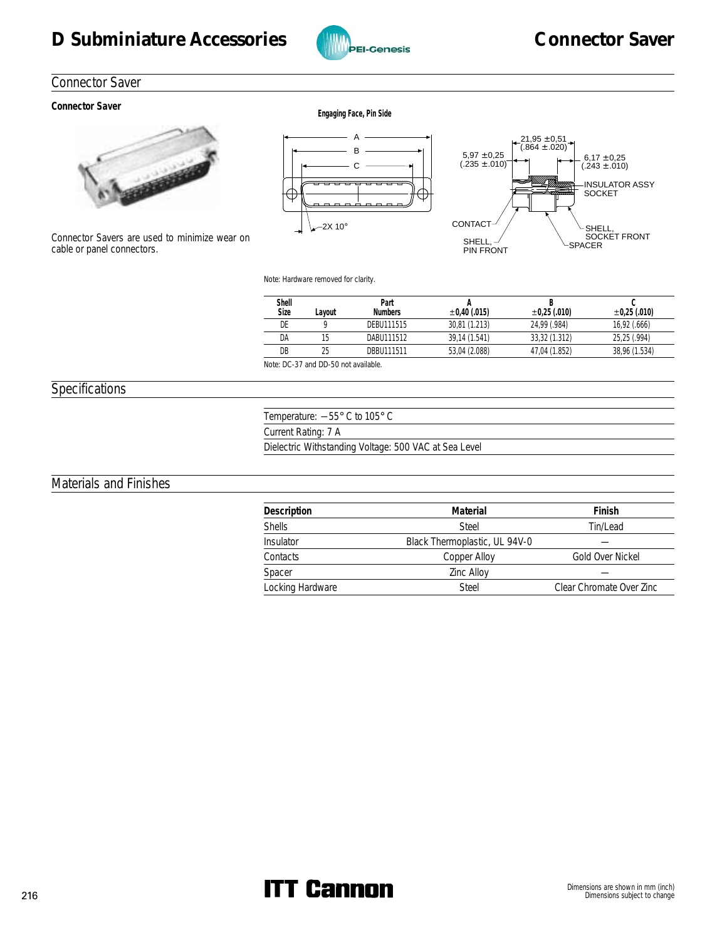# D Subminiature Accessories **Connector Saver**

![](_page_18_Picture_1.jpeg)

# Connector Saver

# **Connector Saver Engaging Face, Pin Side**

![](_page_18_Picture_5.jpeg)

Connector Savers are used to minimize wear on cable or panel connectors.

![](_page_18_Figure_7.jpeg)

![](_page_18_Figure_8.jpeg)

Note: Hardware removed for clarity.

| Shell<br>Size          | Lavout       | Part<br><b>Numbers</b> | ±0.40(.015)   | ±0.25(.010)   | $\pm 0.25$ (.010) |
|------------------------|--------------|------------------------|---------------|---------------|-------------------|
| DE                     |              | DEBU111515             | 30.81 (1.213) | 24.99 (.984)  | 16,92 (.666)      |
| DA                     |              | DABU111512             | 39.14 (1.541) | 33.32 (1.312) | 25.25 (.994)      |
| DB                     |              | DBBU111511             | 53,04 (2.088) | 47.04 (1.852) | 38,96 (1.534)     |
| $\cdots$ $\sim$ $\sim$ | $\mathbf{r}$ | .                      |               |               |                   |

Note: DC-37 and DD-50 not available.

## Specifications

Temperature: -55° C to 105° C Current Rating: 7 A Dielectric Withstanding Voltage: 500 VAC at Sea Level

# Materials and Finishes

| Description      | Material                      | Finish                   |
|------------------|-------------------------------|--------------------------|
| <b>Shells</b>    | Steel                         | Tin/Lead                 |
| <b>Insulator</b> | Black Thermoplastic, UL 94V-0 |                          |
| Contacts         | Copper Alloy                  | Gold Over Nickel         |
| Spacer           | <b>Zinc Alloy</b>             |                          |
| Locking Hardware | Steel                         | Clear Chromate Over Zinc |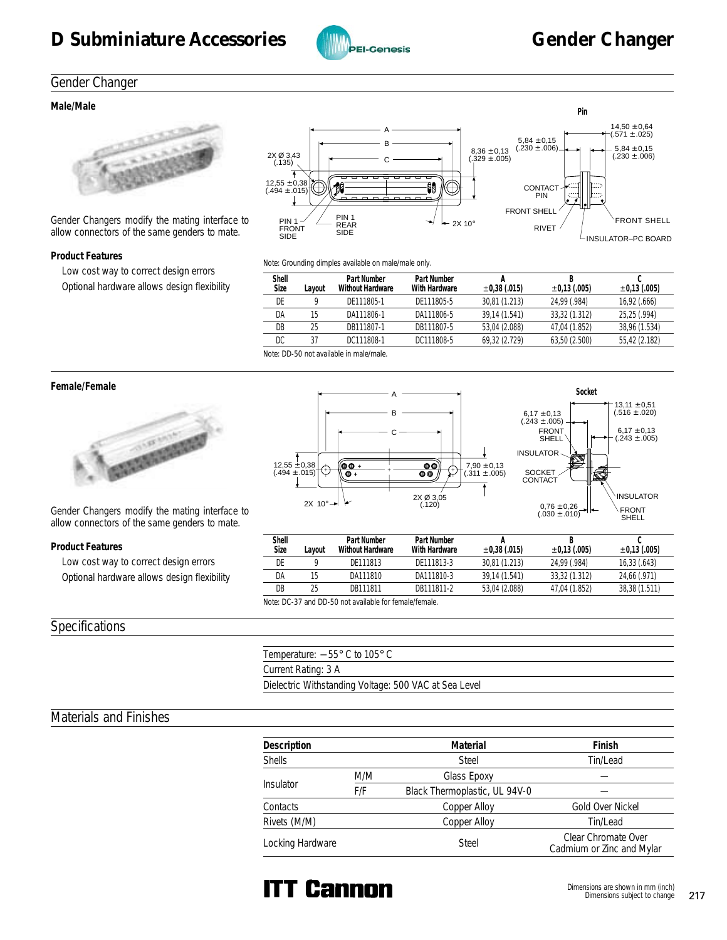![](_page_19_Picture_1.jpeg)

## Gender Changer

#### **Male/Male**

![](_page_19_Picture_5.jpeg)

Gender Changers modify the mating interface to allow connectors of the same genders to mate.

#### **Product Features**

 Low cost way to correct design errors Optional hardware allows design flexibility

![](_page_19_Figure_9.jpeg)

Note: Grounding dimples available on male/male only.

| ∟avout | Part Number<br>Without Hardware | Part Number<br>With Hardware            | $\pm 0.38$ (.015) | $\pm 0.13$ (.005) | $\pm 0.13$ (.005) |
|--------|---------------------------------|-----------------------------------------|-------------------|-------------------|-------------------|
|        | DF111805-1                      | DE111805-5                              | 30.81 (1.213)     | 24.99 (.984)      | 16,92 (.666)      |
| 15     | DA111806-1                      | DA111806-5                              | 39.14 (1.541)     | 33.32 (1.312)     | 25.25 (.994)      |
| 25     | DB111807-1                      | DB111807-5                              | 53.04 (2.088)     | 47.04 (1.852)     | 38.96 (1.534)     |
| 37     | DC111808-1                      | DC111808-5                              | 69.32 (2.729)     | 63,50 (2.500)     | 55,42 (2.182)     |
|        |                                 | Note DD FO and conflicted to accelerate |                   |                   |                   |

Note: DD-50 not available in male/male.

![](_page_19_Picture_14.jpeg)

Gender Changers modify the mating interface to allow connectors of the same genders to mate.

#### **Product Features**

 Low cost way to correct design errors Optional hardware allows design flexibility

#### Specifications

![](_page_19_Figure_19.jpeg)

| Shell<br>Size | Lavout                                                | Part Number<br>Without Hardware | Part Number<br>With Hardware | $\pm 0.38$ (.015) | $\pm 0.13$ (.005) | $\pm 0.13$ (.005) |  |  |  |
|---------------|-------------------------------------------------------|---------------------------------|------------------------------|-------------------|-------------------|-------------------|--|--|--|
| DE            |                                                       | DF111813                        | DE111813-3                   | 30.81 (1.213)     | 24.99 (.984)      | 16,33(.643)       |  |  |  |
| DA            | 15                                                    | DA111810                        | DA111810-3                   | 39.14 (1.541)     | 33.32 (1.312)     | 24,66 (.971)      |  |  |  |
| DB            | 25                                                    | DR111811                        | DB111811-2                   | 53.04 (2.088)     | 47.04 (1.852)     | 38,38 (1.511)     |  |  |  |
|               | Note: DC-37 and DD-50 not available for female/female |                                 |                              |                   |                   |                   |  |  |  |

Note: DC-37 and DD-50 not available for female/female.

| Temperature: $-55^{\circ}$ C to 105 $^{\circ}$ C      |
|-------------------------------------------------------|
| Current Rating: 3 A                                   |
| Dielectric Withstanding Voltage: 500 VAC at Sea Level |

# Materials and Finishes

| Description      |     | Material                      | Finish                                           |
|------------------|-----|-------------------------------|--------------------------------------------------|
| <b>Shells</b>    |     | <b>Steel</b>                  | Tin/Lead                                         |
|                  | M/M | <b>Glass Epoxy</b>            |                                                  |
| Insulator        | F/F | Black Thermoplastic, UL 94V-0 |                                                  |
| Contacts         |     | Copper Alloy                  | Gold Over Nickel                                 |
| Rivets (M/M)     |     | Copper Alloy                  | Tin/Lead                                         |
| Locking Hardware |     | <b>Steel</b>                  | Clear Chromate Over<br>Cadmium or Zinc and Mylar |

![](_page_19_Picture_25.jpeg)